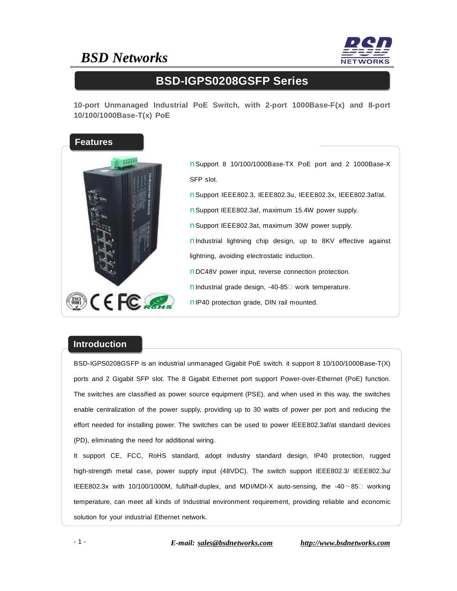## *BSD Networks*



### **BSD-IGPS0208GSFP Series**

**10-port Unmanaged Industrial PoE Switch, with 2-port 1000Base-F(x) and 8-port 10/100/1000Base-T(x) PoE** 



nSupport 8 10/100/1000Base-TX PoE port and 2 1000Base-X SFP slot. nSupport IEEE802.3, IEEE802.3u, IEEE802.3x, IEEE802.3af/at. nSupport IEEE802.3af, maximum 15.4W power supply. nSupport IEEE802.3at, maximum 30W power supply. nIndustrial lightning chip design, up to 8KV effective against lightning, avoiding electrostatic induction.

nDC48V power input, reverse connection protection.

nIndustrial grade design, -40-85□ work temperature.

nIP40 protection grade, DIN rail mounted.

#### **Introduction**

BSD-IGPS0208GSFP is an industrial unmanaged Gigabit PoE switch. it support 8 10/100/1000Base-T(X) ports and 2 Gigabit SFP slot. The 8 Gigabit Ethernet port support Power-over-Ethernet (PoE) function. The switches are classified as power source equipment (PSE), and when used in this way, the switches enable centralization of the power supply, providing up to 30 watts of power per port and reducing the effort needed for installing power. The switches can be used to power IEEE802.3af/at standard devices (PD), eliminating the need for additional wiring.

It support CE, FCC, RoHS standard, adopt industry standard design, IP40 protection, rugged high-strength metal case, power supply input (48VDC). The switch support IEEE802.3/ IEEE802.3u/ IEEE802.3x with 10/100/1000M, full/half-duplex, and MDI/MDI-X auto-sensing, the -40~85℃ working temperature, can meet all kinds of Industrial environment requirement, providing reliable and economic solution for your industrial Ethernet network.

- 1 - *E-mail: [sales@bsdnetworks.com](mailto:sales@bsdnetworks.com) <http://www.bsdnetworks.com>*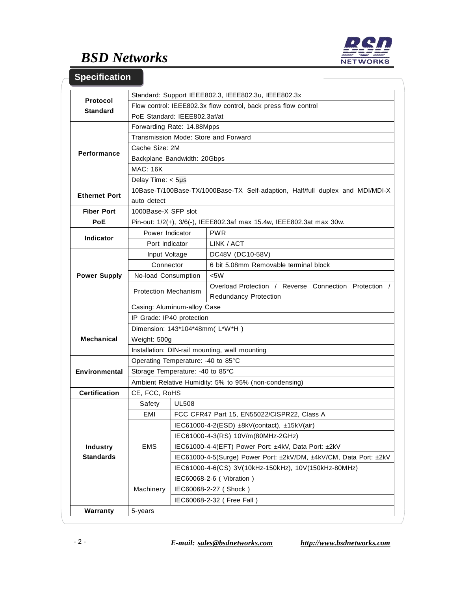

# *BSD Networks*

### **Specification**

|                      | Standard: Support IEEE802.3, IEEE802.3u, IEEE802.3x                           |                                                                   |                                                                                |  |
|----------------------|-------------------------------------------------------------------------------|-------------------------------------------------------------------|--------------------------------------------------------------------------------|--|
| Protocol             | Flow control: IEEE802.3x flow control, back press flow control                |                                                                   |                                                                                |  |
| <b>Standard</b>      | PoE Standard: IEEE802.3af/at                                                  |                                                                   |                                                                                |  |
|                      | Forwarding Rate: 14.88Mpps                                                    |                                                                   |                                                                                |  |
| <b>Performance</b>   | Transmission Mode: Store and Forward                                          |                                                                   |                                                                                |  |
|                      | Cache Size: 2M                                                                |                                                                   |                                                                                |  |
|                      | Backplane Bandwidth: 20Gbps                                                   |                                                                   |                                                                                |  |
|                      | <b>MAC: 16K</b>                                                               |                                                                   |                                                                                |  |
|                      | Delay Time: $<$ 5µs                                                           |                                                                   |                                                                                |  |
| <b>Ethernet Port</b> | 10Base-T/100Base-TX/1000Base-TX Self-adaption, Half/full duplex and MDI/MDI-X |                                                                   |                                                                                |  |
|                      | auto detect                                                                   |                                                                   |                                                                                |  |
| <b>Fiber Port</b>    | 1000Base-X SFP slot                                                           |                                                                   |                                                                                |  |
| <b>PoE</b>           | Pin-out: 1/2(+), 3/6(-), IEEE802.3af max 15.4w, IEEE802.3at max 30w.          |                                                                   |                                                                                |  |
| <b>Indicator</b>     | Power Indicator                                                               |                                                                   | <b>PWR</b>                                                                     |  |
|                      | Port Indicator                                                                |                                                                   | LINK / ACT                                                                     |  |
| <b>Power Supply</b>  | Input Voltage                                                                 |                                                                   | DC48V (DC10-58V)                                                               |  |
|                      | Connector                                                                     |                                                                   | 6 bit 5.08mm Removable terminal block                                          |  |
|                      | No-load Consumption                                                           |                                                                   | $<$ 5W                                                                         |  |
|                      | <b>Protection Mechanism</b>                                                   |                                                                   | Overload Protection / Reverse Connection Protection /<br>Redundancy Protection |  |
|                      | Casing: Aluminum-alloy Case                                                   |                                                                   |                                                                                |  |
| <b>Mechanical</b>    | IP Grade: IP40 protection                                                     |                                                                   |                                                                                |  |
|                      | Dimension: 143*104*48mm(L*W*H)                                                |                                                                   |                                                                                |  |
|                      | Weight: 500g                                                                  |                                                                   |                                                                                |  |
|                      | Installation: DIN-rail mounting, wall mounting                                |                                                                   |                                                                                |  |
| <b>Environmental</b> | Operating Temperature: -40 to 85°C                                            |                                                                   |                                                                                |  |
|                      | Storage Temperature: -40 to 85°C                                              |                                                                   |                                                                                |  |
|                      | Ambient Relative Humidity: 5% to 95% (non-condensing)                         |                                                                   |                                                                                |  |
| <b>Certification</b> | CE, FCC, RoHS                                                                 |                                                                   |                                                                                |  |
|                      | Safety                                                                        | <b>UL508</b>                                                      |                                                                                |  |
|                      | EMI                                                                           |                                                                   | FCC CFR47 Part 15, EN55022/CISPR22, Class A                                    |  |
|                      | EMS                                                                           |                                                                   | IEC61000-4-2(ESD) $\pm$ 8kV(contact), $\pm$ 15kV(air)                          |  |
|                      |                                                                               | IEC61000-4-3(RS) 10V/m(80MHz-2GHz)                                |                                                                                |  |
| <b>Industry</b>      |                                                                               | IEC61000-4-4(EFT) Power Port: ±4kV, Data Port: ±2kV               |                                                                                |  |
| <b>Standards</b>     |                                                                               | IEC61000-4-5(Surge) Power Port: ±2kV/DM, ±4kV/CM, Data Port: ±2kV |                                                                                |  |
|                      |                                                                               | IEC61000-4-6(CS) 3V(10kHz-150kHz), 10V(150kHz-80MHz)              |                                                                                |  |
|                      | Machinery                                                                     | IEC60068-2-6 (Vibration)                                          |                                                                                |  |
|                      |                                                                               | IEC60068-2-27 (Shock)                                             |                                                                                |  |
|                      |                                                                               | IEC60068-2-32 ( Free Fall )                                       |                                                                                |  |
| Warranty             | 5-years                                                                       |                                                                   |                                                                                |  |